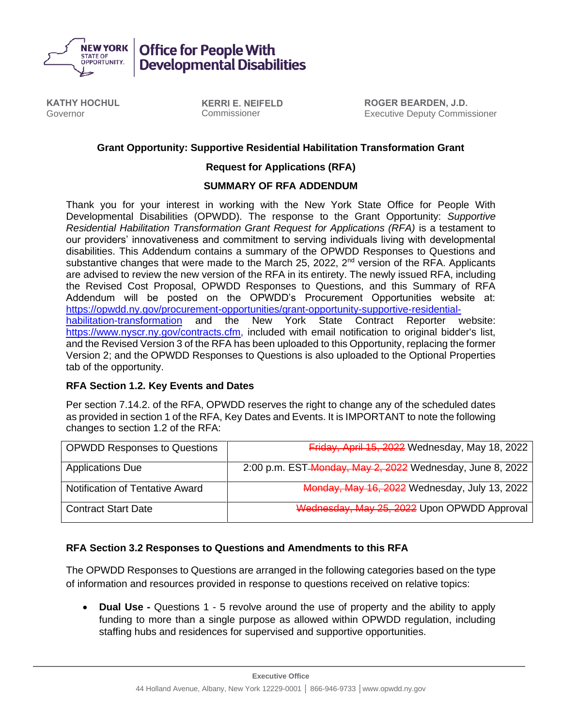

**Developmental Disabilities** 

**KATHY HOCHUL** Governor

**KERRI E. NEIFELD** Commissioner

**ROGER BEARDEN, J.D.** Executive Deputy Commissioner

## **Grant Opportunity: Supportive Residential Habilitation Transformation Grant**

#### **Request for Applications (RFA)**

#### **SUMMARY OF RFA ADDENDUM**

Thank you for your interest in working with the New York State Office for People With Developmental Disabilities (OPWDD). The response to the Grant Opportunity: *Supportive Residential Habilitation Transformation Grant Request for Applications (RFA)* is a testament to our providers' innovativeness and commitment to serving individuals living with developmental disabilities. This Addendum contains a summary of the OPWDD Responses to Questions and substantive changes that were made to the March 25, 2022,  $2<sup>nd</sup>$  version of the RFA. Applicants are advised to review the new version of the RFA in its entirety. The newly issued RFA, including the Revised Cost Proposal, OPWDD Responses to Questions, and this Summary of RFA Addendum will be posted on the OPWDD's Procurement Opportunities website at: [https://opwdd.ny.gov/procurement-opportunities/grant-opportunity-supportive-residential](https://opwdd.ny.gov/procurement-opportunities/grant-opportunity-supportive-residential-habilitation-transformation)[habilitation-transformation](https://opwdd.ny.gov/procurement-opportunities/grant-opportunity-supportive-residential-habilitation-transformation) and the New York State Contract Reporter website: [https://www.nyscr.ny.gov/contracts.cfm,](https://www.nyscr.ny.gov/contracts.cfm) included with email notification to original bidder's list, and the Revised Version 3 of the RFA has been uploaded to this Opportunity, replacing the former Version 2; and the OPWDD Responses to Questions is also uploaded to the Optional Properties tab of the opportunity.

## **RFA Section 1.2. Key Events and Dates**

Per section 7.14.2. of the RFA, OPWDD reserves the right to change any of the scheduled dates as provided in section 1 of the RFA, Key Dates and Events. It is IMPORTANT to note the following changes to section 1.2 of the RFA:

| <b>OPWDD Responses to Questions</b> | Friday, April 15, 2022 Wednesday, May 18, 2022            |
|-------------------------------------|-----------------------------------------------------------|
| <b>Applications Due</b>             | 2:00 p.m. EST-Monday, May 2, 2022 Wednesday, June 8, 2022 |
| Notification of Tentative Award     | Monday, May 16, 2022 Wednesday, July 13, 2022             |
| <b>Contract Start Date</b>          | Wednesday, May 25, 2022 Upon OPWDD Approval               |

## **RFA Section 3.2 Responses to Questions and Amendments to this RFA**

The OPWDD Responses to Questions are arranged in the following categories based on the type of information and resources provided in response to questions received on relative topics:

• **Dual Use -** Questions 1 - 5 revolve around the use of property and the ability to apply funding to more than a single purpose as allowed within OPWDD regulation, including staffing hubs and residences for supervised and supportive opportunities.